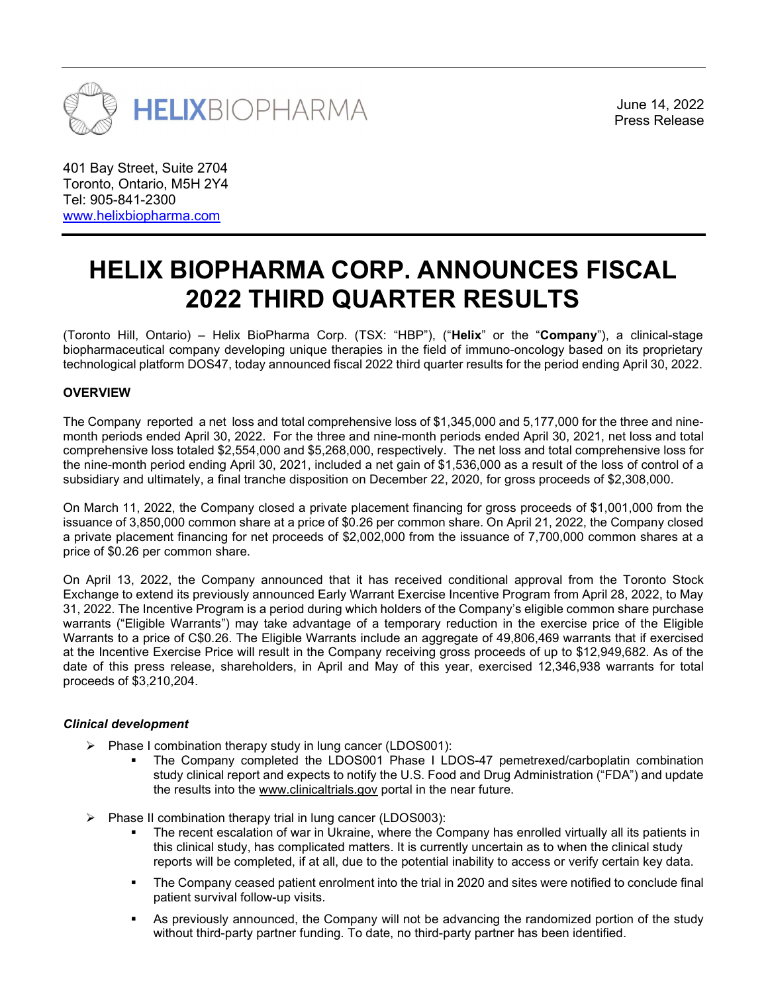

June 14, 2022

401 Bay Street, Suite 2704 Toronto, Ontario, M5H 2Y4 Tel: 905-841-2300 www.helixbiopharma.com

# HELIX BIOPHARMA CORP. ANNOUNCES FISCAL 2022 THIRD QUARTER RESULTS

(Toronto Hill, Ontario) – Helix BioPharma Corp. (TSX: "HBP"), ("**Helix**" or the "**Company**"), a clinical-stage biopharmaceutical company developing unique therapies in the field of immuno-oncology based on its proprietary technological platform DOS47, today announced fiscal 2022 third quarter results for the period ending April 30, 2022.

## **OVERVIEW**

The Company reported a net loss and total comprehensive loss of \$1,345,000 and 5,177,000 for the three and ninemonth periods ended April 30, 2022. For the three and nine-month periods ended April 30, 2021, net loss and total comprehensive loss totaled \$2,554,000 and \$5,268,000, respectively. The net loss and total comprehensive loss for the nine-month period ending April 30, 2021, included a net gain of \$1,536,000 as a result of the loss of control of a subsidiary and ultimately, a final tranche disposition on December 22, 2020, for gross proceeds of \$2,308,000.

On March 11, 2022, the Company closed a private placement financing for gross proceeds of \$1,001,000 from the issuance of 3,850,000 common share at a price of \$0.26 per common share. On April 21, 2022, the Company closed a private placement financing for net proceeds of \$2,002,000 from the issuance of 7,700,000 common shares at a price of \$0.26 per common share.

On April 13, 2022, the Company announced that it has received conditional approval from the Toronto Stock Exchange to extend its previously announced Early Warrant Exercise Incentive Program from April 28, 2022, to May 31, 2022. The Incentive Program is a period during which holders of the Company's eligible common share purchase warrants ("Eligible Warrants") may take advantage of a temporary reduction in the exercise price of the Eligible Warrants to a price of C\$0.26. The Eligible Warrants include an aggregate of 49,806,469 warrants that if exercised at the Incentive Exercise Price will result in the Company receiving gross proceeds of up to \$12,949,682. As of the date of this press release, shareholders, in April and May of this year, exercised 12,346,938 warrants for total proceeds of \$3,210,204.

### Clinical development

- $\triangleright$  Phase I combination therapy study in lung cancer (LDOS001):
	- The Company completed the LDOS001 Phase I LDOS-47 pemetrexed/carboplatin combination study clinical report and expects to notify the U.S. Food and Drug Administration ("FDA") and update the results into the www.clinicaltrials.gov portal in the near future.
- Phase II combination therapy trial in lung cancer (LDOS003):
	- The recent escalation of war in Ukraine, where the Company has enrolled virtually all its patients in this clinical study, has complicated matters. It is currently uncertain as to when the clinical study reports will be completed, if at all, due to the potential inability to access or verify certain key data.
	- The Company ceased patient enrolment into the trial in 2020 and sites were notified to conclude final patient survival follow-up visits.
	- As previously announced, the Company will not be advancing the randomized portion of the study without third-party partner funding. To date, no third-party partner has been identified.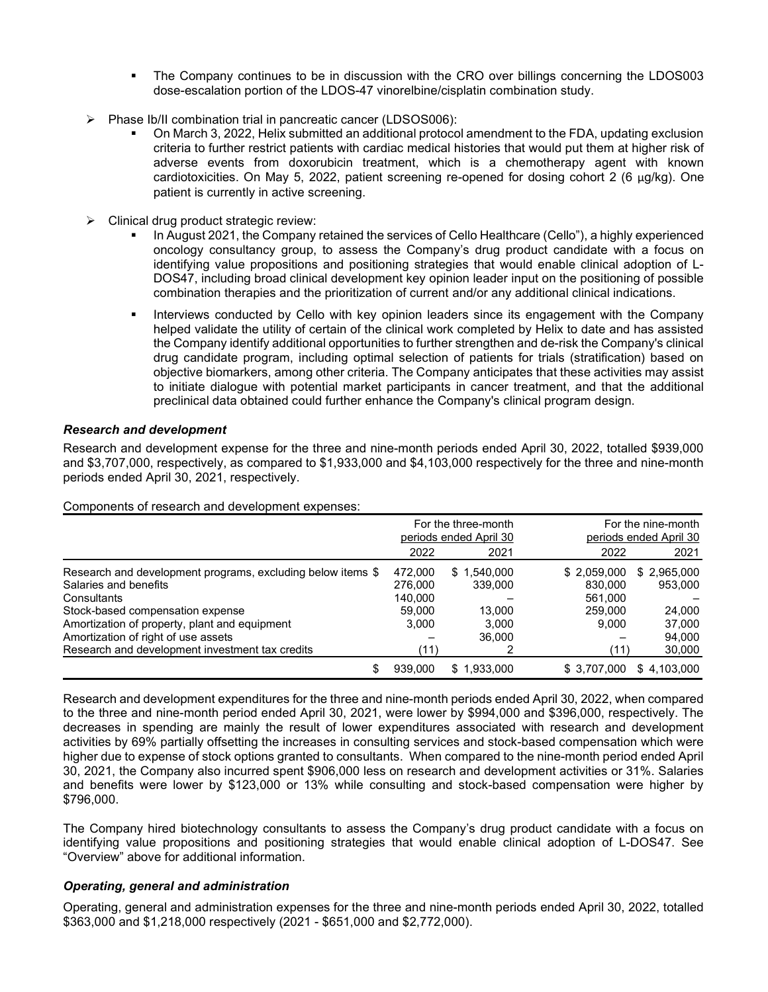- The Company continues to be in discussion with the CRO over billings concerning the LDOS003 dose-escalation portion of the LDOS-47 vinorelbine/cisplatin combination study.
- $\triangleright$  Phase Ib/II combination trial in pancreatic cancer (LDSOS006):
	- On March 3, 2022, Helix submitted an additional protocol amendment to the FDA, updating exclusion criteria to further restrict patients with cardiac medical histories that would put them at higher risk of adverse events from doxorubicin treatment, which is a chemotherapy agent with known cardiotoxicities. On May 5, 2022, patient screening re-opened for dosing cohort 2 (6 µg/kg). One patient is currently in active screening.
- $\triangleright$  Clinical drug product strategic review:
	- In August 2021, the Company retained the services of Cello Healthcare (Cello"), a highly experienced oncology consultancy group, to assess the Company's drug product candidate with a focus on identifying value propositions and positioning strategies that would enable clinical adoption of L-DOS47, including broad clinical development key opinion leader input on the positioning of possible combination therapies and the prioritization of current and/or any additional clinical indications.
	- Interviews conducted by Cello with key opinion leaders since its engagement with the Company helped validate the utility of certain of the clinical work completed by Helix to date and has assisted the Company identify additional opportunities to further strengthen and de-risk the Company's clinical drug candidate program, including optimal selection of patients for trials (stratification) based on objective biomarkers, among other criteria. The Company anticipates that these activities may assist to initiate dialogue with potential market participants in cancer treatment, and that the additional preclinical data obtained could further enhance the Company's clinical program design.

## Research and development

Research and development expense for the three and nine-month periods ended April 30, 2022, totalled \$939,000 and \$3,707,000, respectively, as compared to \$1,933,000 and \$4,103,000 respectively for the three and nine-month periods ended April 30, 2021, respectively.

Components of research and development expenses:

|                                                             |         | For the three-month    |              | For the nine-month<br>periods ended April 30 |  |
|-------------------------------------------------------------|---------|------------------------|--------------|----------------------------------------------|--|
|                                                             |         | periods ended April 30 |              |                                              |  |
|                                                             | 2022    | 2021                   | 2022         | 2021                                         |  |
| Research and development programs, excluding below items \$ | 472.000 | \$1,540,000            | \$2,059,000  | \$ 2,965,000                                 |  |
| Salaries and benefits                                       | 276.000 | 339,000                | 830.000      | 953,000                                      |  |
| Consultants                                                 | 140.000 |                        | 561.000      |                                              |  |
| Stock-based compensation expense                            | 59.000  | 13.000                 | 259,000      | 24.000                                       |  |
| Amortization of property, plant and equipment               | 3.000   | 3.000                  | 9.000        | 37.000                                       |  |
| Amortization of right of use assets                         |         | 36,000                 |              | 94.000                                       |  |
| Research and development investment tax credits             | (11)    |                        | (11)         | 30,000                                       |  |
|                                                             | 939.000 | \$1,933,000            | \$ 3,707,000 | \$4.103.000                                  |  |

Research and development expenditures for the three and nine-month periods ended April 30, 2022, when compared to the three and nine-month period ended April 30, 2021, were lower by \$994,000 and \$396,000, respectively. The decreases in spending are mainly the result of lower expenditures associated with research and development activities by 69% partially offsetting the increases in consulting services and stock-based compensation which were higher due to expense of stock options granted to consultants. When compared to the nine-month period ended April 30, 2021, the Company also incurred spent \$906,000 less on research and development activities or 31%. Salaries and benefits were lower by \$123,000 or 13% while consulting and stock-based compensation were higher by \$796,000.

The Company hired biotechnology consultants to assess the Company's drug product candidate with a focus on identifying value propositions and positioning strategies that would enable clinical adoption of L-DOS47. See "Overview" above for additional information.

### Operating, general and administration

Operating, general and administration expenses for the three and nine-month periods ended April 30, 2022, totalled \$363,000 and \$1,218,000 respectively (2021 - \$651,000 and \$2,772,000).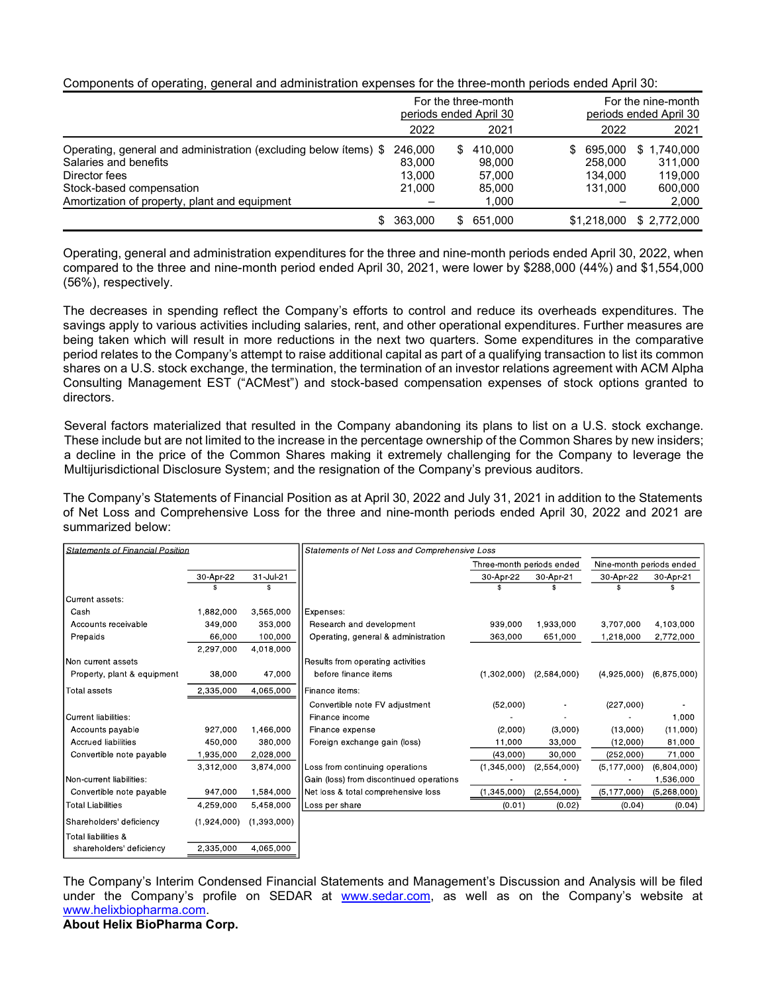|  |  | Components of operating, general and administration expenses for the three-month periods ended April 30: |  |  |
|--|--|----------------------------------------------------------------------------------------------------------|--|--|
|  |  |                                                                                                          |  |  |

|                                                                  |           | For the three-month<br>periods ended April 30 |         | For the nine-month<br>periods ended April 30 |  |
|------------------------------------------------------------------|-----------|-----------------------------------------------|---------|----------------------------------------------|--|
|                                                                  | 2022      | 2021                                          | 2022    | 2021                                         |  |
| Operating, general and administration (excluding below ítems) \$ | 246,000   | \$410,000                                     | 695.000 | \$1.740.000                                  |  |
| Salaries and benefits                                            | 83,000    | 98.000                                        | 258.000 | 311.000                                      |  |
| Director fees                                                    | 13,000    | 57.000                                        | 134,000 | 119.000                                      |  |
| Stock-based compensation                                         | 21,000    | 85.000                                        | 131,000 | 600.000                                      |  |
| Amortization of property, plant and equipment                    |           | 1,000                                         |         | 2,000                                        |  |
|                                                                  | \$363,000 | \$651,000                                     |         | \$1,218,000 \$ 2,772,000                     |  |

Operating, general and administration expenditures for the three and nine-month periods ended April 30, 2022, when compared to the three and nine-month period ended April 30, 2021, were lower by \$288,000 (44%) and \$1,554,000 (56%), respectively.

The decreases in spending reflect the Company's efforts to control and reduce its overheads expenditures. The savings apply to various activities including salaries, rent, and other operational expenditures. Further measures are being taken which will result in more reductions in the next two quarters. Some expenditures in the comparative period relates to the Company's attempt to raise additional capital as part of a qualifying transaction to list its common shares on a U.S. stock exchange, the termination, the termination of an investor relations agreement with ACM Alpha Consulting Management EST ("ACMest") and stock-based compensation expenses of stock options granted to directors.

Several factors materialized that resulted in the Company abandoning its plans to list on a U.S. stock exchange. These include but are not limited to the increase in the percentage ownership of the Common Shares by new insiders; a decline in the price of the Common Shares making it extremely challenging for the Company to leverage the Multijurisdictional Disclosure System; and the resignation of the Company's previous auditors.

The Company's Statements of Financial Position as at April 30, 2022 and July 31, 2021 in addition to the Statements of Net Loss and Comprehensive Loss for the three and nine-month periods ended April 30, 2022 and 2021 are summarized below:

| <b>Statements of Financial Position</b> |             |             | Statements of Net Loss and Comprehensive Loss |                           |             |                          |               |  |  |
|-----------------------------------------|-------------|-------------|-----------------------------------------------|---------------------------|-------------|--------------------------|---------------|--|--|
|                                         |             |             |                                               | Three-month periods ended |             | Nine-month periods ended |               |  |  |
|                                         | 30 Apr 22   | 31 Jul 21   |                                               | 30 Apr 22                 | 30 Apr 21   | 30-Apr-22                | 30 Apr 21     |  |  |
|                                         |             |             |                                               |                           |             |                          |               |  |  |
| Current assets:                         |             |             |                                               |                           |             |                          |               |  |  |
| Cash                                    | 1.882.000   | 3,565,000   | Expenses:                                     |                           |             |                          |               |  |  |
| Accounts receivable                     | 349.000     | 353.000     | Research and development                      | 939,000                   | 1,933,000   | 3,707,000                | 4,103,000     |  |  |
| Prepaids                                | 66,000      | 100.000     | Operating, general & administration           | 363,000                   | 651,000     | 1,218,000                | 2,772,000     |  |  |
|                                         | 2,297,000   | 4,018,000   |                                               |                           |             |                          |               |  |  |
| Non current assets                      |             |             | Results from operating activities             |                           |             |                          |               |  |  |
| Property, plant & equipment             | 38,000      | 47,000      | before finance items                          | (1,302,000)               | (2,584,000) | (4,925,000)              | (6.875,000)   |  |  |
| Total assets                            | 2,335,000   | 4,065,000   | Finance items:                                |                           |             |                          |               |  |  |
|                                         |             |             | Convertible note FV adjustment                | (52,000)                  |             | (227,000)                |               |  |  |
| <b>Current liabilities:</b>             |             |             | Finance income                                |                           |             |                          | 1,000         |  |  |
| Accounts payable                        | 927,000     | 1,466,000   | Finance expense                               | (2,000)                   | (3,000)     | (13,000)                 | (11,000)      |  |  |
| <b>Accrued liabilities</b>              | 450.000     | 380.000     | Foreign exchange gain (loss)                  | 11,000                    | 33,000      | (12,000)                 | 81,000        |  |  |
| Convertible note payable                | 1,935,000   | 2,028,000   |                                               | (43,000)                  | 30,000      | (252,000)                | 71,000        |  |  |
|                                         | 3,312,000   | 3.874.000   | Loss from continuing operations               | (1,345,000)               | (2,554,000) | (5, 177, 000)            | (6,804,000)   |  |  |
| Non-current liabilities:                |             |             | Gain (loss) from discontinued operations      |                           |             |                          | 1,536,000     |  |  |
| Convertible note payable                | 947.000     | 1.584.000   | Net loss & total comprehensive loss           | (1,345,000)               | (2,554,000) | (5, 177, 000)            | (5, 268, 000) |  |  |
| <b>Total Liabilities</b>                | 4,259,000   | 5,458,000   | Loss per share                                | (0.01)                    | (0.02)      | (0.04)                   | (0.04)        |  |  |
| Shareholders' deficiency                | (1,924,000) | (1,393,000) |                                               |                           |             |                          |               |  |  |
| Total liabilities &                     |             |             |                                               |                           |             |                          |               |  |  |
| shareholders' deficiency                | 2.335.000   | 4.065.000   |                                               |                           |             |                          |               |  |  |

The Company's Interim Condensed Financial Statements and Management's Discussion and Analysis will be filed under the Company's profile on SEDAR at www.sedar.com, as well as on the Company's website at www.helixbiopharma.com. About Helix BioPharma Corp.